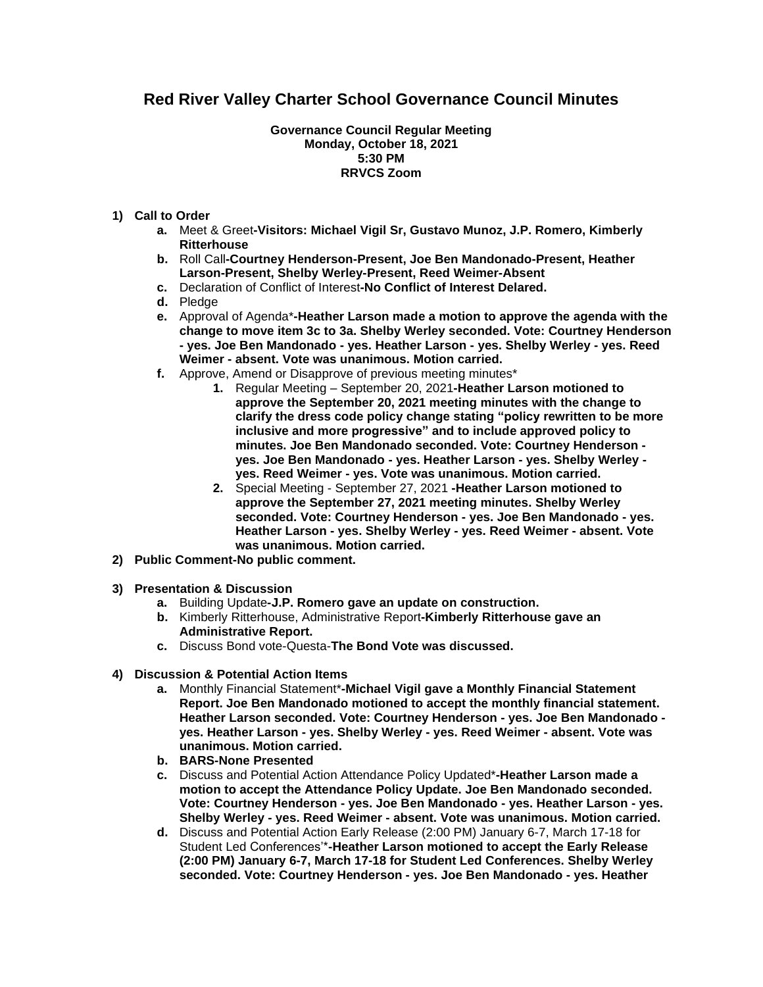# **Red River Valley Charter School Governance Council Minutes**

#### **Governance Council Regular Meeting Monday, October 18, 2021 5:30 PM RRVCS Zoom**

# **1) Call to Order**

- **a.** Meet & Greet**-Visitors: Michael Vigil Sr, Gustavo Munoz, J.P. Romero, Kimberly Ritterhouse**
- **b.** Roll Call**-Courtney Henderson-Present, Joe Ben Mandonado-Present, Heather Larson-Present, Shelby Werley-Present, Reed Weimer-Absent**
- **c.** Declaration of Conflict of Interest**-No Conflict of Interest Delared.**
- **d.** Pledge
- **e.** Approval of Agenda\***-Heather Larson made a motion to approve the agenda with the change to move item 3c to 3a. Shelby Werley seconded. Vote: Courtney Henderson - yes. Joe Ben Mandonado - yes. Heather Larson - yes. Shelby Werley - yes. Reed Weimer - absent. Vote was unanimous. Motion carried.**
- **f.** Approve, Amend or Disapprove of previous meeting minutes\*
	- **1.** Regular Meeting September 20, 2021**-Heather Larson motioned to approve the September 20, 2021 meeting minutes with the change to clarify the dress code policy change stating "policy rewritten to be more inclusive and more progressive" and to include approved policy to minutes. Joe Ben Mandonado seconded. Vote: Courtney Henderson yes. Joe Ben Mandonado - yes. Heather Larson - yes. Shelby Werley yes. Reed Weimer - yes. Vote was unanimous. Motion carried.**
	- **2.** Special Meeting September 27, 2021 **-Heather Larson motioned to approve the September 27, 2021 meeting minutes. Shelby Werley seconded. Vote: Courtney Henderson - yes. Joe Ben Mandonado - yes. Heather Larson - yes. Shelby Werley - yes. Reed Weimer - absent. Vote was unanimous. Motion carried.**
- **2) Public Comment-No public comment.**
- **3) Presentation & Discussion**
	- **a.** Building Update**-J.P. Romero gave an update on construction.**
	- **b.** Kimberly Ritterhouse, Administrative Report**-Kimberly Ritterhouse gave an Administrative Report.**
	- **c.** Discuss Bond vote-Questa-**The Bond Vote was discussed.**
- **4) Discussion & Potential Action Items**
	- **a.** Monthly Financial Statement\***-Michael Vigil gave a Monthly Financial Statement Report. Joe Ben Mandonado motioned to accept the monthly financial statement. Heather Larson seconded. Vote: Courtney Henderson - yes. Joe Ben Mandonado yes. Heather Larson - yes. Shelby Werley - yes. Reed Weimer - absent. Vote was unanimous. Motion carried.**
	- **b. BARS-None Presented**
	- **c.** Discuss and Potential Action Attendance Policy Updated\***-Heather Larson made a motion to accept the Attendance Policy Update. Joe Ben Mandonado seconded. Vote: Courtney Henderson - yes. Joe Ben Mandonado - yes. Heather Larson - yes. Shelby Werley - yes. Reed Weimer - absent. Vote was unanimous. Motion carried.**
	- **d.** Discuss and Potential Action Early Release (2:00 PM) January 6-7, March 17-18 for Student Led Conferences'\***-Heather Larson motioned to accept the Early Release (2:00 PM) January 6-7, March 17-18 for Student Led Conferences. Shelby Werley seconded. Vote: Courtney Henderson - yes. Joe Ben Mandonado - yes. Heather**